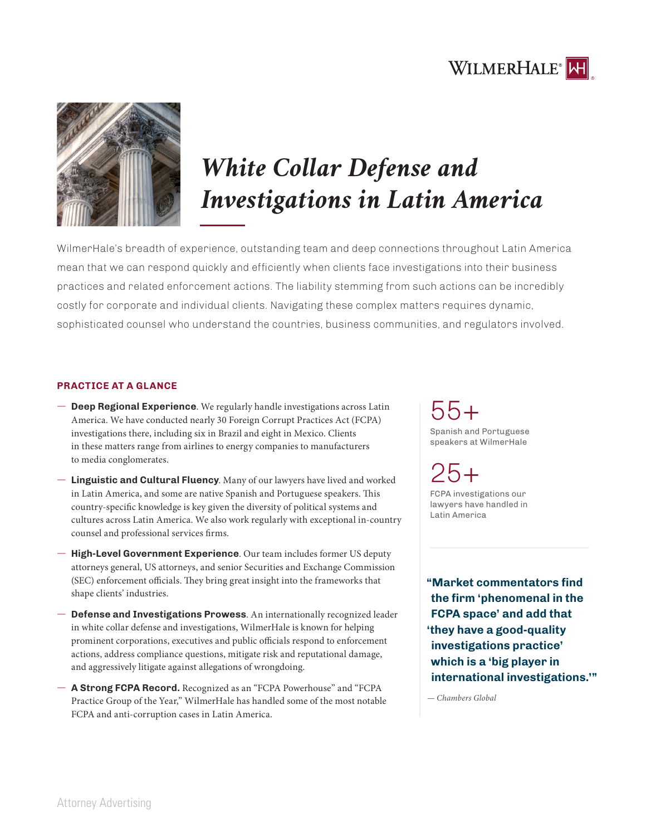



# *White Collar Defense and Investigations in Latin America*

WilmerHale's breadth of experience, outstanding team and deep connections throughout Latin America mean that we can respond quickly and efficiently when clients face investigations into their business practices and related enforcement actions. The liability stemming from such actions can be incredibly costly for corporate and individual clients. Navigating these complex matters requires dynamic, sophisticated counsel who understand the countries, business communities, and regulators involved.

### **PRACTICE AT A GLANCE**

- $-$  **Deep Regional Experience**. We regularly handle investigations across Latin America. We have conducted nearly 30 Foreign Corrupt Practices Act (FCPA) investigations there, including six in Brazil and eight in Mexico. Clients in these matters range from airlines to energy companies to manufacturers to media conglomerates.
- $-$  Linguistic and Cultural Fluency. Many of our lawyers have lived and worked in Latin America, and some are native Spanish and Portuguese speakers. This country-specific knowledge is key given the diversity of political systems and cultures across Latin America. We also work regularly with exceptional in-country counsel and professional services firms.
- $-$  High-Level Government Experience. Our team includes former US deputy attorneys general, US attorneys, and senior Securities and Exchange Commission (SEC) enforcement officials. They bring great insight into the frameworks that shape clients' industries.
- ϳ **Defense and Investigations Prowess**. An internationally recognized leader in white collar defense and investigations, WilmerHale is known for helping prominent corporations, executives and public officials respond to enforcement actions, address compliance questions, mitigate risk and reputational damage, and aggressively litigate against allegations of wrongdoing.
- $-$  **A Strong FCPA Record.** Recognized as an "FCPA Powerhouse" and "FCPA Practice Group of the Year," WilmerHale has handled some of the most notable FCPA and anti-corruption cases in Latin America.

## 55+

Spanish and Portuguese speakers at WilmerHale

 $25+$ FCPA investigations our lawyers have handled in Latin America

**"Market commentators find the firm 'phenomenal in the FCPA space' and add that 'they have a good-quality investigations practice' which is a 'big player in international investigations.'"**

*— Chambers Global*